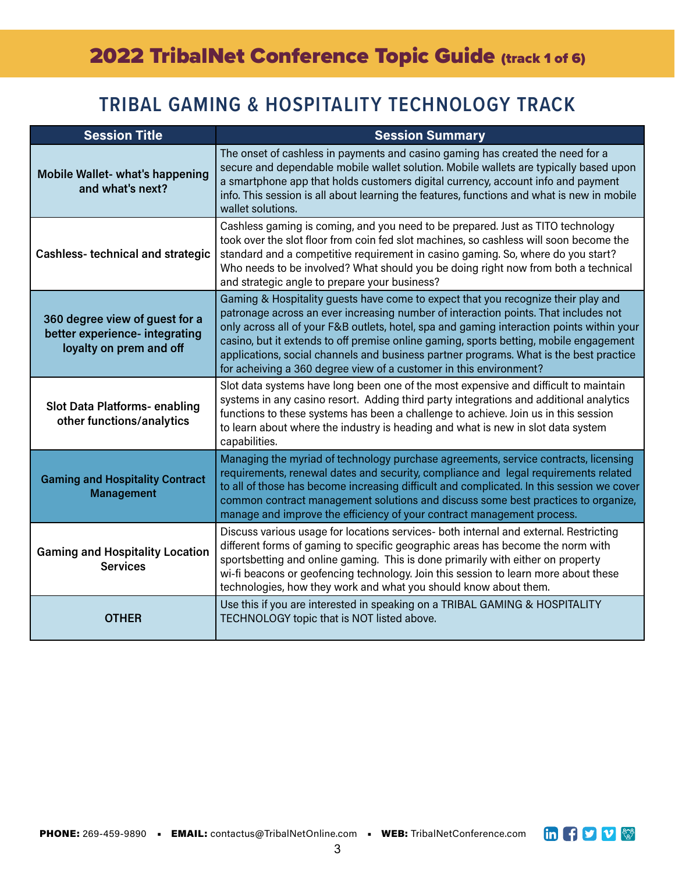# 2022 TribalNet Conference Topic Guide (track 1 of 6)

#### **TRIBAL GAMING & HOSPITALITY TECHNOLOGY TRACK**

| <b>Session Title</b>                                                                        | <b>Session Summary</b>                                                                                                                                                                                                                                                                                                                                                                                                                                                                                                          |
|---------------------------------------------------------------------------------------------|---------------------------------------------------------------------------------------------------------------------------------------------------------------------------------------------------------------------------------------------------------------------------------------------------------------------------------------------------------------------------------------------------------------------------------------------------------------------------------------------------------------------------------|
| <b>Mobile Wallet- what's happening</b><br>and what's next?                                  | The onset of cashless in payments and casino gaming has created the need for a<br>secure and dependable mobile wallet solution. Mobile wallets are typically based upon<br>a smartphone app that holds customers digital currency, account info and payment<br>info. This session is all about learning the features, functions and what is new in mobile<br>wallet solutions.                                                                                                                                                  |
| <b>Cashless-technical and strategic</b>                                                     | Cashless gaming is coming, and you need to be prepared. Just as TITO technology<br>took over the slot floor from coin fed slot machines, so cashless will soon become the<br>standard and a competitive requirement in casino gaming. So, where do you start?<br>Who needs to be involved? What should you be doing right now from both a technical<br>and strategic angle to prepare your business?                                                                                                                            |
| 360 degree view of guest for a<br>better experience- integrating<br>loyalty on prem and off | Gaming & Hospitality guests have come to expect that you recognize their play and<br>patronage across an ever increasing number of interaction points. That includes not<br>only across all of your F&B outlets, hotel, spa and gaming interaction points within your<br>casino, but it extends to off premise online gaming, sports betting, mobile engagement<br>applications, social channels and business partner programs. What is the best practice<br>for acheiving a 360 degree view of a customer in this environment? |
| <b>Slot Data Platforms- enabling</b><br>other functions/analytics                           | Slot data systems have long been one of the most expensive and difficult to maintain<br>systems in any casino resort. Adding third party integrations and additional analytics<br>functions to these systems has been a challenge to achieve. Join us in this session<br>to learn about where the industry is heading and what is new in slot data system<br>capabilities.                                                                                                                                                      |
| <b>Gaming and Hospitality Contract</b><br><b>Management</b>                                 | Managing the myriad of technology purchase agreements, service contracts, licensing<br>requirements, renewal dates and security, compliance and legal requirements related<br>to all of those has become increasing difficult and complicated. In this session we cover<br>common contract management solutions and discuss some best practices to organize,<br>manage and improve the efficiency of your contract management process.                                                                                          |
| <b>Gaming and Hospitality Location</b><br><b>Services</b>                                   | Discuss various usage for locations services- both internal and external. Restricting<br>different forms of gaming to specific geographic areas has become the norm with<br>sportsbetting and online gaming. This is done primarily with either on property<br>wi-fi beacons or geofencing technology. Join this session to learn more about these<br>technologies, how they work and what you should know about them.                                                                                                          |
| <b>OTHER</b>                                                                                | Use this if you are interested in speaking on a TRIBAL GAMING & HOSPITALITY<br>TECHNOLOGY topic that is NOT listed above.                                                                                                                                                                                                                                                                                                                                                                                                       |

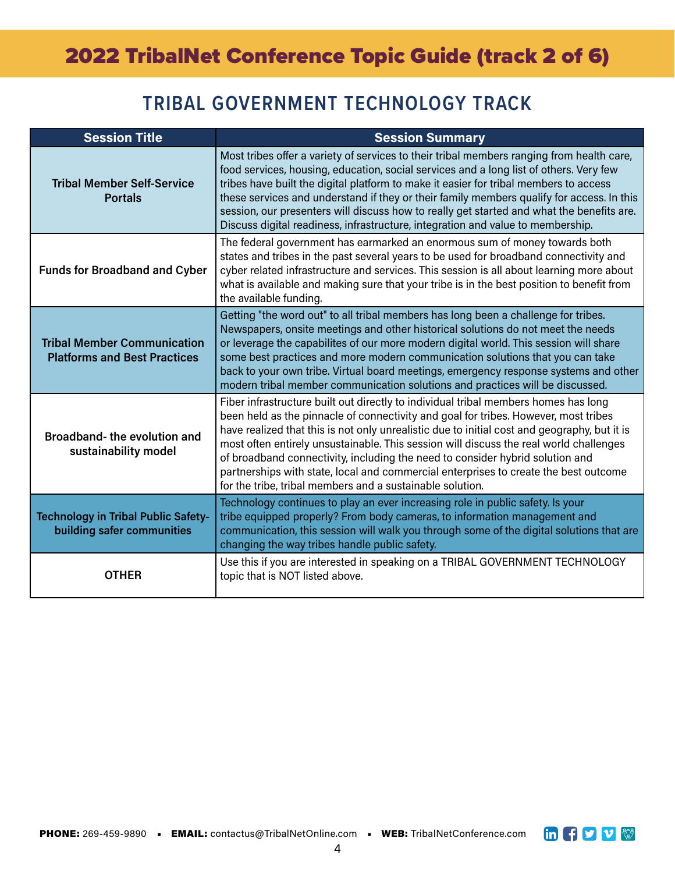### 2022 TribalNet Conference Topic Guide (track 2 of 6)

#### **TRIBAL GOVERNMENT TECHNOLOGY TRACK**

| <b>Session Title</b>                                                      | <b>Session Summary</b>                                                                                                                                                                                                                                                                                                                                                                                                                                                                                                                                                                                     |
|---------------------------------------------------------------------------|------------------------------------------------------------------------------------------------------------------------------------------------------------------------------------------------------------------------------------------------------------------------------------------------------------------------------------------------------------------------------------------------------------------------------------------------------------------------------------------------------------------------------------------------------------------------------------------------------------|
| <b>Tribal Member Self-Service</b><br><b>Portals</b>                       | Most tribes offer a variety of services to their tribal members ranging from health care,<br>food services, housing, education, social services and a long list of others. Very few<br>tribes have built the digital platform to make it easier for tribal members to access<br>these services and understand if they or their family members qualify for access. In this<br>session, our presenters will discuss how to really get started and what the benefits are.<br>Discuss digital readiness, infrastructure, integration and value to membership.                                                  |
| <b>Funds for Broadband and Cyber</b>                                      | The federal government has earmarked an enormous sum of money towards both<br>states and tribes in the past several years to be used for broadband connectivity and<br>cyber related infrastructure and services. This session is all about learning more about<br>what is available and making sure that your tribe is in the best position to benefit from<br>the available funding.                                                                                                                                                                                                                     |
| <b>Tribal Member Communication</b><br><b>Platforms and Best Practices</b> | Getting "the word out" to all tribal members has long been a challenge for tribes.<br>Newspapers, onsite meetings and other historical solutions do not meet the needs<br>or leverage the capabilites of our more modern digital world. This session will share<br>some best practices and more modern communication solutions that you can take<br>back to your own tribe. Virtual board meetings, emergency response systems and other<br>modern tribal member communication solutions and practices will be discussed.                                                                                  |
| Broadband-the evolution and<br>sustainability model                       | Fiber infrastructure built out directly to individual tribal members homes has long<br>been held as the pinnacle of connectivity and goal for tribes. However, most tribes<br>have realized that this is not only unrealistic due to initial cost and geography, but it is<br>most often entirely unsustainable. This session will discuss the real world challenges<br>of broadband connectivity, including the need to consider hybrid solution and<br>partnerships with state, local and commercial enterprises to create the best outcome<br>for the tribe, tribal members and a sustainable solution. |
| <b>Technology in Tribal Public Safety-</b><br>building safer communities  | Technology continues to play an ever increasing role in public safety. Is your<br>tribe equipped properly? From body cameras, to information management and<br>communication, this session will walk you through some of the digital solutions that are<br>changing the way tribes handle public safety.                                                                                                                                                                                                                                                                                                   |
| <b>OTHER</b>                                                              | Use this if you are interested in speaking on a TRIBAL GOVERNMENT TECHNOLOGY<br>topic that is NOT listed above.                                                                                                                                                                                                                                                                                                                                                                                                                                                                                            |



in fyvræ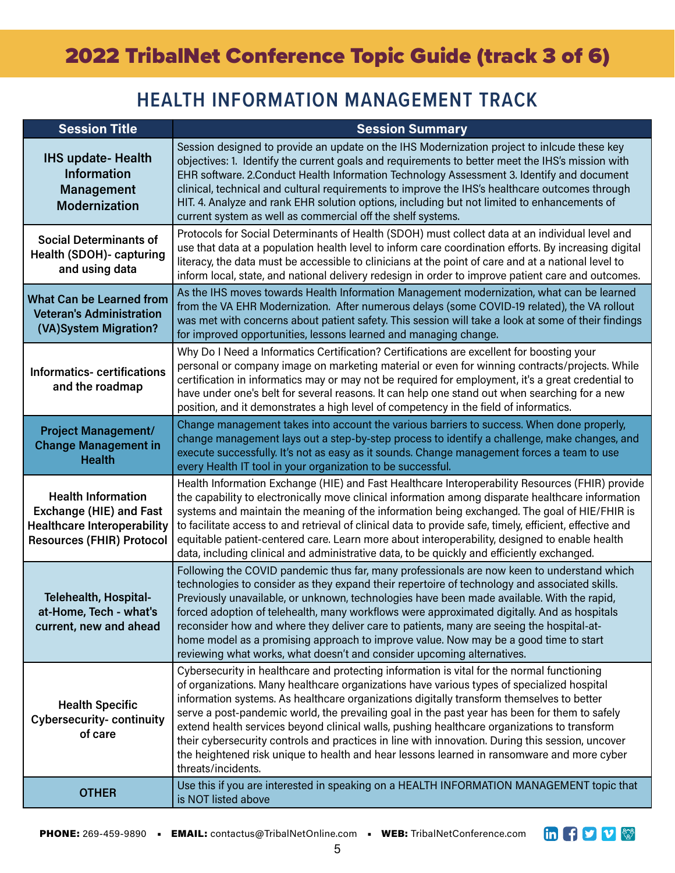## 2022 TribalNet Conference Topic Guide (track 3 of 6)

#### **HEALTH INFORMATION MANAGEMENT TRACK**

| <b>Session Title</b>                                                                                                                  | <b>Session Summary</b>                                                                                                                                                                                                                                                                                                                                                                                                                                                                                                                                                                                                                                                                                        |
|---------------------------------------------------------------------------------------------------------------------------------------|---------------------------------------------------------------------------------------------------------------------------------------------------------------------------------------------------------------------------------------------------------------------------------------------------------------------------------------------------------------------------------------------------------------------------------------------------------------------------------------------------------------------------------------------------------------------------------------------------------------------------------------------------------------------------------------------------------------|
| <b>IHS update- Health</b><br><b>Information</b><br><b>Management</b><br><b>Modernization</b>                                          | Session designed to provide an update on the IHS Modernization project to inlcude these key<br>objectives: 1. Identify the current goals and requirements to better meet the IHS's mission with<br>EHR software. 2.Conduct Health Information Technology Assessment 3. Identify and document<br>clinical, technical and cultural requirements to improve the IHS's healthcare outcomes through<br>HIT. 4. Analyze and rank EHR solution options, including but not limited to enhancements of<br>current system as well as commercial off the shelf systems.                                                                                                                                                  |
| <b>Social Determinants of</b><br><b>Health (SDOH)- capturing</b><br>and using data                                                    | Protocols for Social Determinants of Health (SDOH) must collect data at an individual level and<br>use that data at a population health level to inform care coordination efforts. By increasing digital<br>literacy, the data must be accessible to clinicians at the point of care and at a national level to<br>inform local, state, and national delivery redesign in order to improve patient care and outcomes.                                                                                                                                                                                                                                                                                         |
| <b>What Can be Learned from</b><br><b>Veteran's Administration</b><br>(VA)System Migration?                                           | As the IHS moves towards Health Information Management modernization, what can be learned<br>from the VA EHR Modernization. After numerous delays (some COVID-19 related), the VA rollout<br>was met with concerns about patient safety. This session will take a look at some of their findings<br>for improved opportunities, lessons learned and managing change.                                                                                                                                                                                                                                                                                                                                          |
| <b>Informatics-certifications</b><br>and the roadmap                                                                                  | Why Do I Need a Informatics Certification? Certifications are excellent for boosting your<br>personal or company image on marketing material or even for winning contracts/projects. While<br>certification in informatics may or may not be required for employment, it's a great credential to<br>have under one's belt for several reasons. It can help one stand out when searching for a new<br>position, and it demonstrates a high level of competency in the field of informatics.                                                                                                                                                                                                                    |
| <b>Project Management/</b><br><b>Change Management in</b><br><b>Health</b>                                                            | Change management takes into account the various barriers to success. When done properly,<br>change management lays out a step-by-step process to identify a challenge, make changes, and<br>execute successfully. It's not as easy as it sounds. Change management forces a team to use<br>every Health IT tool in your organization to be successful.                                                                                                                                                                                                                                                                                                                                                       |
| <b>Health Information</b><br><b>Exchange (HIE) and Fast</b><br><b>Healthcare Interoperability</b><br><b>Resources (FHIR) Protocol</b> | Health Information Exchange (HIE) and Fast Healthcare Interoperability Resources (FHIR) provide<br>the capability to electronically move clinical information among disparate healthcare information<br>systems and maintain the meaning of the information being exchanged. The goal of HIE/FHIR is<br>to facilitate access to and retrieval of clinical data to provide safe, timely, efficient, effective and<br>equitable patient-centered care. Learn more about interoperability, designed to enable health<br>data, including clinical and administrative data, to be quickly and efficiently exchanged.                                                                                               |
| <b>Telehealth, Hospital-</b><br>at-Home, Tech - what's<br>current, new and ahead                                                      | Following the COVID pandemic thus far, many professionals are now keen to understand which<br>technologies to consider as they expand their repertoire of technology and associated skills.<br>Previously unavailable, or unknown, technologies have been made available. With the rapid,<br>forced adoption of telehealth, many workflows were approximated digitally. And as hospitals<br>reconsider how and where they deliver care to patients, many are seeing the hospital-at-<br>home model as a promising approach to improve value. Now may be a good time to start<br>reviewing what works, what doesn't and consider upcoming alternatives.                                                        |
| <b>Health Specific</b><br><b>Cybersecurity-continuity</b><br>of care                                                                  | Cybersecurity in healthcare and protecting information is vital for the normal functioning<br>of organizations. Many healthcare organizations have various types of specialized hospital<br>information systems. As healthcare organizations digitally transform themselves to better<br>serve a post-pandemic world, the prevailing goal in the past year has been for them to safely<br>extend health services beyond clinical walls, pushing healthcare organizations to transform<br>their cybersecurity controls and practices in line with innovation. During this session, uncover<br>the heightened risk unique to health and hear lessons learned in ransomware and more cyber<br>threats/incidents. |
| <b>OTHER</b>                                                                                                                          | Use this if you are interested in speaking on a HEALTH INFORMATION MANAGEMENT topic that<br>is NOT listed above                                                                                                                                                                                                                                                                                                                                                                                                                                                                                                                                                                                               |

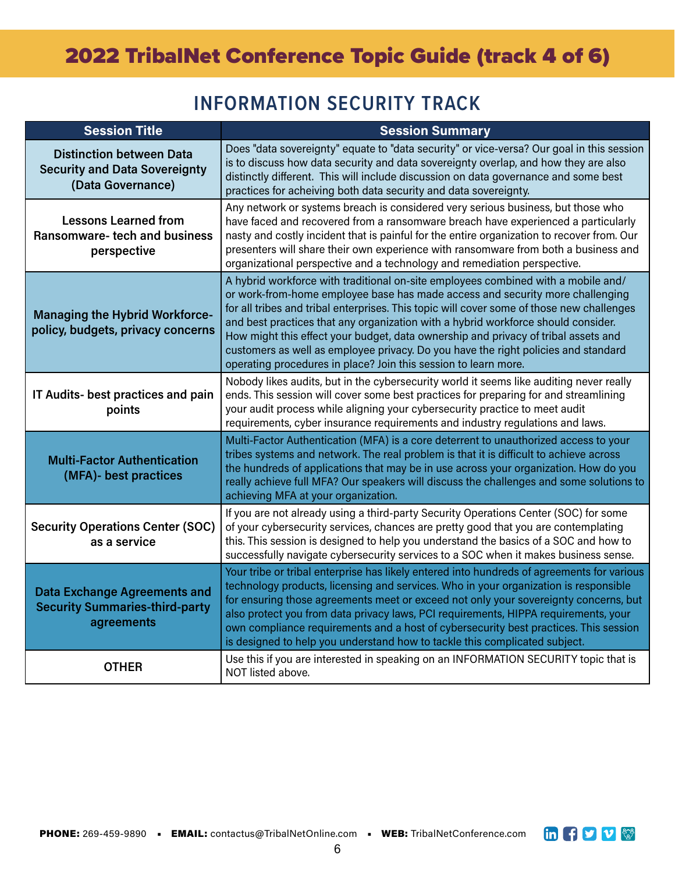### **INFORMATION SECURITY TRACK**

| <b>Session Title</b>                                                                         | <b>Session Summary</b>                                                                                                                                                                                                                                                                                                                                                                                                                                                                                                                                                                              |
|----------------------------------------------------------------------------------------------|-----------------------------------------------------------------------------------------------------------------------------------------------------------------------------------------------------------------------------------------------------------------------------------------------------------------------------------------------------------------------------------------------------------------------------------------------------------------------------------------------------------------------------------------------------------------------------------------------------|
| <b>Distinction between Data</b><br><b>Security and Data Sovereignty</b><br>(Data Governance) | Does "data sovereignty" equate to "data security" or vice-versa? Our goal in this session<br>is to discuss how data security and data sovereignty overlap, and how they are also<br>distinctly different. This will include discussion on data governance and some best<br>practices for acheiving both data security and data sovereignty.                                                                                                                                                                                                                                                         |
| <b>Lessons Learned from</b><br><b>Ransomware- tech and business</b><br>perspective           | Any network or systems breach is considered very serious business, but those who<br>have faced and recovered from a ransomware breach have experienced a particularly<br>nasty and costly incident that is painful for the entire organization to recover from. Our<br>presenters will share their own experience with ransomware from both a business and<br>organizational perspective and a technology and remediation perspective.                                                                                                                                                              |
| <b>Managing the Hybrid Workforce-</b><br>policy, budgets, privacy concerns                   | A hybrid workforce with traditional on-site employees combined with a mobile and/<br>or work-from-home employee base has made access and security more challenging<br>for all tribes and tribal enterprises. This topic will cover some of those new challenges<br>and best practices that any organization with a hybrid workforce should consider.<br>How might this effect your budget, data ownership and privacy of tribal assets and<br>customers as well as employee privacy. Do you have the right policies and standard<br>operating procedures in place? Join this session to learn more. |
| IT Audits- best practices and pain<br>points                                                 | Nobody likes audits, but in the cybersecurity world it seems like auditing never really<br>ends. This session will cover some best practices for preparing for and streamlining<br>your audit process while aligning your cybersecurity practice to meet audit<br>requirements, cyber insurance requirements and industry regulations and laws.                                                                                                                                                                                                                                                     |
| <b>Multi-Factor Authentication</b><br>(MFA)- best practices                                  | Multi-Factor Authentication (MFA) is a core deterrent to unauthorized access to your<br>tribes systems and network. The real problem is that it is difficult to achieve across<br>the hundreds of applications that may be in use across your organization. How do you<br>really achieve full MFA? Our speakers will discuss the challenges and some solutions to<br>achieving MFA at your organization.                                                                                                                                                                                            |
| <b>Security Operations Center (SOC)</b><br>as a service                                      | If you are not already using a third-party Security Operations Center (SOC) for some<br>of your cybersecurity services, chances are pretty good that you are contemplating<br>this. This session is designed to help you understand the basics of a SOC and how to<br>successfully navigate cybersecurity services to a SOC when it makes business sense.                                                                                                                                                                                                                                           |
| <b>Data Exchange Agreements and</b><br><b>Security Summaries-third-party</b><br>agreements   | Your tribe or tribal enterprise has likely entered into hundreds of agreements for various<br>technology products, licensing and services. Who in your organization is responsible<br>for ensuring those agreements meet or exceed not only your sovereignty concerns, but<br>also protect you from data privacy laws, PCI requirements, HIPPA requirements, your<br>own compliance requirements and a host of cybersecurity best practices. This session<br>is designed to help you understand how to tackle this complicated subject.                                                             |
| <b>OTHER</b>                                                                                 | Use this if you are interested in speaking on an INFORMATION SECURITY topic that is<br>NOT listed above.                                                                                                                                                                                                                                                                                                                                                                                                                                                                                            |

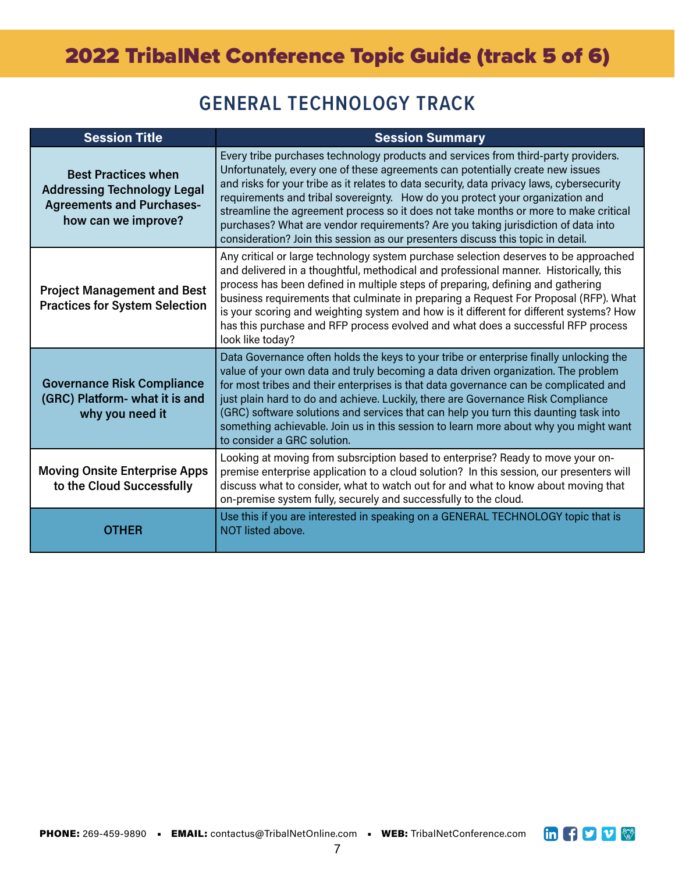#### **GENERAL TECHNOLOGY TRACK**

| <b>Session Title</b>                                                                                                        | <b>Session Summary</b>                                                                                                                                                                                                                                                                                                                                                                                                                                                                                                                                                                                              |
|-----------------------------------------------------------------------------------------------------------------------------|---------------------------------------------------------------------------------------------------------------------------------------------------------------------------------------------------------------------------------------------------------------------------------------------------------------------------------------------------------------------------------------------------------------------------------------------------------------------------------------------------------------------------------------------------------------------------------------------------------------------|
| <b>Best Practices when</b><br><b>Addressing Technology Legal</b><br><b>Agreements and Purchases-</b><br>how can we improve? | Every tribe purchases technology products and services from third-party providers.<br>Unfortunately, every one of these agreements can potentially create new issues<br>and risks for your tribe as it relates to data security, data privacy laws, cybersecurity<br>requirements and tribal sovereignty. How do you protect your organization and<br>streamline the agreement process so it does not take months or more to make critical<br>purchases? What are vendor requirements? Are you taking jurisdiction of data into<br>consideration? Join this session as our presenters discuss this topic in detail. |
| <b>Project Management and Best</b><br><b>Practices for System Selection</b>                                                 | Any critical or large technology system purchase selection deserves to be approached<br>and delivered in a thoughtful, methodical and professional manner. Historically, this<br>process has been defined in multiple steps of preparing, defining and gathering<br>business requirements that culminate in preparing a Request For Proposal (RFP). What<br>is your scoring and weighting system and how is it different for different systems? How<br>has this purchase and RFP process evolved and what does a successful RFP process<br>look like today?                                                         |
| <b>Governance Risk Compliance</b><br>(GRC) Platform- what it is and<br>why you need it                                      | Data Governance often holds the keys to your tribe or enterprise finally unlocking the<br>value of your own data and truly becoming a data driven organization. The problem<br>for most tribes and their enterprises is that data governance can be complicated and<br>just plain hard to do and achieve. Luckily, there are Governance Risk Compliance<br>(GRC) software solutions and services that can help you turn this daunting task into<br>something achievable. Join us in this session to learn more about why you might want<br>to consider a GRC solution.                                              |
| <b>Moving Onsite Enterprise Apps</b><br>to the Cloud Successfully                                                           | Looking at moving from subsrciption based to enterprise? Ready to move your on-<br>premise enterprise application to a cloud solution? In this session, our presenters will<br>discuss what to consider, what to watch out for and what to know about moving that<br>on-premise system fully, securely and successfully to the cloud.                                                                                                                                                                                                                                                                               |
| OTHER                                                                                                                       | Use this if you are interested in speaking on a GENERAL TECHNOLOGY topic that is<br>NOT listed above.                                                                                                                                                                                                                                                                                                                                                                                                                                                                                                               |